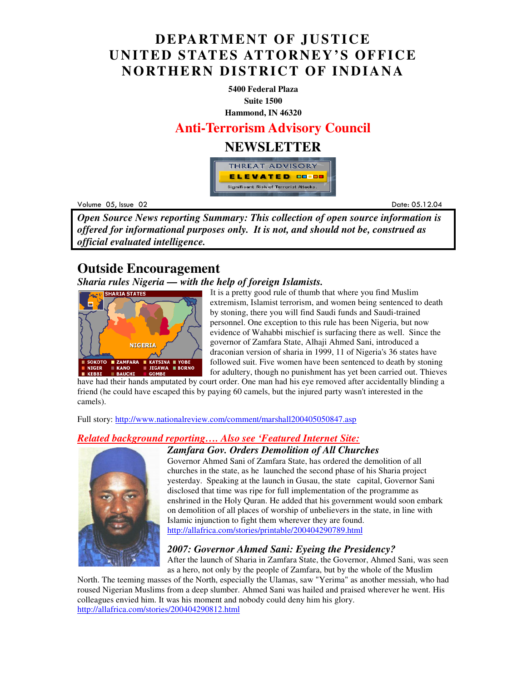## **DEPARTMENT OF JUSTICE UNITED STATES ATTORNEY'S OFFICE NORTHERN DISTRICT OF INDIANA**

**5400 Federal Plaza Suite 1500 Hammond, IN 46320**

**Anti-Terrorism Advisory Council** 

### **NEWSLETTER**



Volume 05 example to the contract of the contract of the contract of the contract of the contract of the contract of the contract of the contract of the contract of the contract of the contract of the contract of the contract of the

Date: 05.12.04

*Open Source News reporting Summary: This collection of open source information is offered for informational purposes only. It is not, and should not be, construed as official evaluated intelligence.*

### **Outside Encouragement**

#### *Sharia rules Nigeria — with the help of foreign Islamists.*



**I**t is a pretty good rule of thumb that where you find Muslim extremism, Islamist terrorism, and women being sentenced to death by stoning, there you will find Saudi funds and Saudi-trained personnel. One exception to this rule has been Nigeria, but now evidence of Wahabbi mischief is surfacing there as well. Since the governor of Zamfara State, Alhaji Ahmed Sani, introduced a draconian version of sharia in 1999, 11 of Nigeria's 36 states have followed suit. Five women have been sentenced to death by stoning for adultery, though no punishment has yet been carried out. Thieves

have had their hands amputated by court order. One man had his eye removed after accidentally blinding a friend (he could have escaped this by paying 60 camels, but the injured party wasn't interested in the camels).

Full story: http://www.nationalreview.com/comment/marshall200405050847.asp

### *Related background reporting…. Also see 'Featured Internet Site:*



*Zamfara Gov. Orders Demolition of All Churches* 

Governor Ahmed Sani of Zamfara State, has ordered the demolition of all churches in the state, as he launched the second phase of his Sharia project yesterday. Speaking at the launch in Gusau, the state capital, Governor Sani disclosed that time was ripe for full implementation of the programme as enshrined in the Holy Quran. He added that his government would soon embark on demolition of all places of worship of unbelievers in the state, in line with Islamic injunction to fight them wherever they are found. http://allafrica.com/stories/printable/200404290789.html

### *2007: Governor Ahmed Sani: Eyeing the Presidency?*

After the launch of Sharia in Zamfara State, the Governor, Ahmed Sani, was seen as a hero, not only by the people of Zamfara, but by the whole of the Muslim

North. The teeming masses of the North, especially the Ulamas, saw "Yerima" as another messiah, who had roused Nigerian Muslims from a deep slumber. Ahmed Sani was hailed and praised wherever he went. His colleagues envied him. It was his moment and nobody could deny him his glory. http://allafrica.com/stories/200404290812.html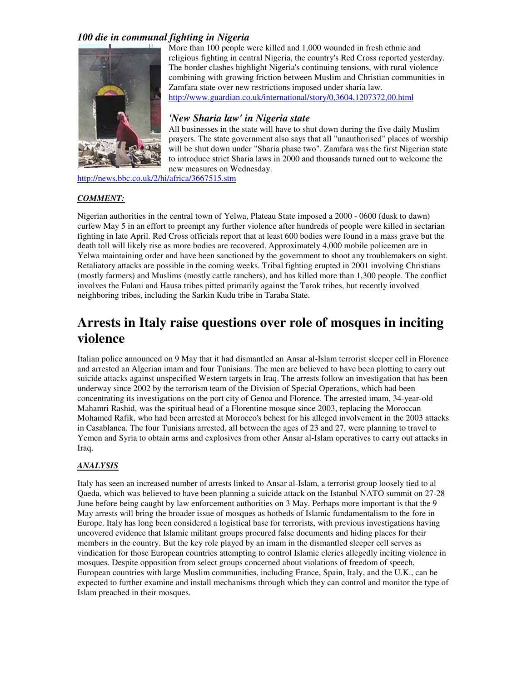#### *100 die in communal fighting in Nigeria*



More than 100 people were killed and 1,000 wounded in fresh ethnic and religious fighting in central Nigeria, the country's Red Cross reported yesterday. The border clashes highlight Nigeria's continuing tensions, with rural violence combining with growing friction between Muslim and Christian communities in Zamfara state over new restrictions imposed under sharia law. http://www.guardian.co.uk/international/story/0,3604,1207372,00.html

#### *'New Sharia law' in Nigeria state*

All businesses in the state will have to shut down during the five daily Muslim prayers. The state government also says that all "unauthorised" places of worship will be shut down under "Sharia phase two". Zamfara was the first Nigerian state to introduce strict Sharia laws in 2000 and thousands turned out to welcome the new measures on Wednesday.

http://news.bbc.co.uk/2/hi/africa/3667515.stm

#### *COMMENT:*

Nigerian authorities in the central town of Yelwa, Plateau State imposed a 2000 - 0600 (dusk to dawn) curfew May 5 in an effort to preempt any further violence after hundreds of people were killed in sectarian fighting in late April. Red Cross officials report that at least 600 bodies were found in a mass grave but the death toll will likely rise as more bodies are recovered. Approximately 4,000 mobile policemen are in Yelwa maintaining order and have been sanctioned by the government to shoot any troublemakers on sight. Retaliatory attacks are possible in the coming weeks. Tribal fighting erupted in 2001 involving Christians (mostly farmers) and Muslims (mostly cattle ranchers), and has killed more than 1,300 people. The conflict involves the Fulani and Hausa tribes pitted primarily against the Tarok tribes, but recently involved neighboring tribes, including the Sarkin Kudu tribe in Taraba State.

## **Arrests in Italy raise questions over role of mosques in inciting violence**

Italian police announced on 9 May that it had dismantled an Ansar al-Islam terrorist sleeper cell in Florence and arrested an Algerian imam and four Tunisians. The men are believed to have been plotting to carry out suicide attacks against unspecified Western targets in Iraq. The arrests follow an investigation that has been underway since 2002 by the terrorism team of the Division of Special Operations, which had been concentrating its investigations on the port city of Genoa and Florence. The arrested imam, 34-year-old Mahamri Rashid, was the spiritual head of a Florentine mosque since 2003, replacing the Moroccan Mohamed Rafik, who had been arrested at Morocco's behest for his alleged involvement in the 2003 attacks in Casablanca. The four Tunisians arrested, all between the ages of 23 and 27, were planning to travel to Yemen and Syria to obtain arms and explosives from other Ansar al-Islam operatives to carry out attacks in Iraq.

#### *ANALYSIS*

Italy has seen an increased number of arrests linked to Ansar al-Islam, a terrorist group loosely tied to al Qaeda, which was believed to have been planning a suicide attack on the Istanbul NATO summit on 27-28 June before being caught by law enforcement authorities on 3 May. Perhaps more important is that the 9 May arrests will bring the broader issue of mosques as hotbeds of Islamic fundamentalism to the fore in Europe. Italy has long been considered a logistical base for terrorists, with previous investigations having uncovered evidence that Islamic militant groups procured false documents and hiding places for their members in the country. But the key role played by an imam in the dismantled sleeper cell serves as vindication for those European countries attempting to control Islamic clerics allegedly inciting violence in mosques. Despite opposition from select groups concerned about violations of freedom of speech, European countries with large Muslim communities, including France, Spain, Italy, and the U.K., can be expected to further examine and install mechanisms through which they can control and monitor the type of Islam preached in their mosques.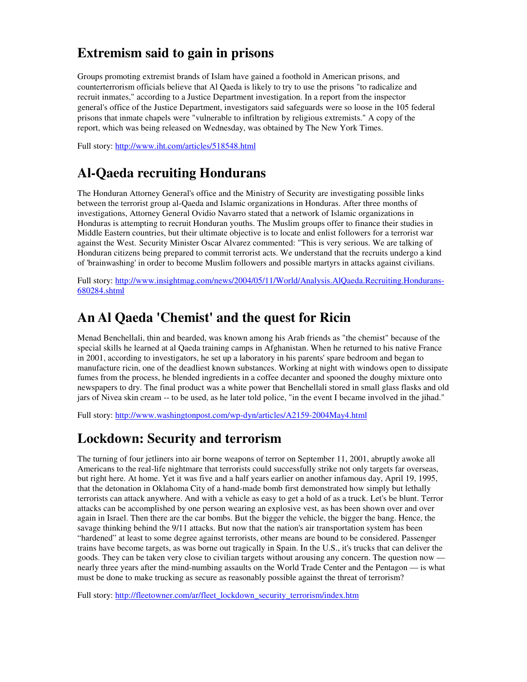## **Extremism said to gain in prisons**

Groups promoting extremist brands of Islam have gained a foothold in American prisons, and counterterrorism officials believe that Al Qaeda is likely to try to use the prisons "to radicalize and recruit inmates," according to a Justice Department investigation. In a report from the inspector general's office of the Justice Department, investigators said safeguards were so loose in the 105 federal prisons that inmate chapels were "vulnerable to infiltration by religious extremists." A copy of the report, which was being released on Wednesday, was obtained by The New York Times.

Full story: http://www.iht.com/articles/518548.html

# **Al-Qaeda recruiting Hondurans**

The Honduran Attorney General's office and the Ministry of Security are investigating possible links between the terrorist group al-Qaeda and Islamic organizations in Honduras. After three months of investigations, Attorney General Ovidio Navarro stated that a network of Islamic organizations in Honduras is attempting to recruit Honduran youths. The Muslim groups offer to finance their studies in Middle Eastern countries, but their ultimate objective is to locate and enlist followers for a terrorist war against the West. Security Minister Oscar Alvarez commented: "This is very serious. We are talking of Honduran citizens being prepared to commit terrorist acts. We understand that the recruits undergo a kind of 'brainwashing' in order to become Muslim followers and possible martyrs in attacks against civilians.

Full story: http://www.insightmag.com/news/2004/05/11/World/Analysis.AlQaeda.Recruiting.Hondurans-680284.shtml

## **An Al Qaeda 'Chemist' and the quest for Ricin**

Menad Benchellali, thin and bearded, was known among his Arab friends as "the chemist" because of the special skills he learned at al Qaeda training camps in Afghanistan. When he returned to his native France in 2001, according to investigators, he set up a laboratory in his parents' spare bedroom and began to manufacture ricin, one of the deadliest known substances. Working at night with windows open to dissipate fumes from the process, he blended ingredients in a coffee decanter and spooned the doughy mixture onto newspapers to dry. The final product was a white power that Benchellali stored in small glass flasks and old jars of Nivea skin cream -- to be used, as he later told police, "in the event I became involved in the jihad."

Full story: http://www.washingtonpost.com/wp-dyn/articles/A2159-2004May4.html

## **Lockdown: Security and terrorism**

The turning of four jetliners into air borne weapons of terror on September 11, 2001, abruptly awoke all Americans to the real-life nightmare that terrorists could successfully strike not only targets far overseas, but right here. At home. Yet it was five and a half years earlier on another infamous day, April 19, 1995, that the detonation in Oklahoma City of a hand-made bomb first demonstrated how simply but lethally terrorists can attack anywhere. And with a vehicle as easy to get a hold of as a truck. Let's be blunt. Terror attacks can be accomplished by one person wearing an explosive vest, as has been shown over and over again in Israel. Then there are the car bombs. But the bigger the vehicle, the bigger the bang. Hence, the savage thinking behind the 9/11 attacks. But now that the nation's air transportation system has been "hardened" at least to some degree against terrorists, other means are bound to be considered. Passenger trains have become targets, as was borne out tragically in Spain. In the U.S., it's trucks that can deliver the goods. They can be taken very close to civilian targets without arousing any concern. The question now nearly three years after the mind-numbing assaults on the World Trade Center and the Pentagon — is what must be done to make trucking as secure as reasonably possible against the threat of terrorism?

Full story: http://fleetowner.com/ar/fleet\_lockdown\_security\_terrorism/index.htm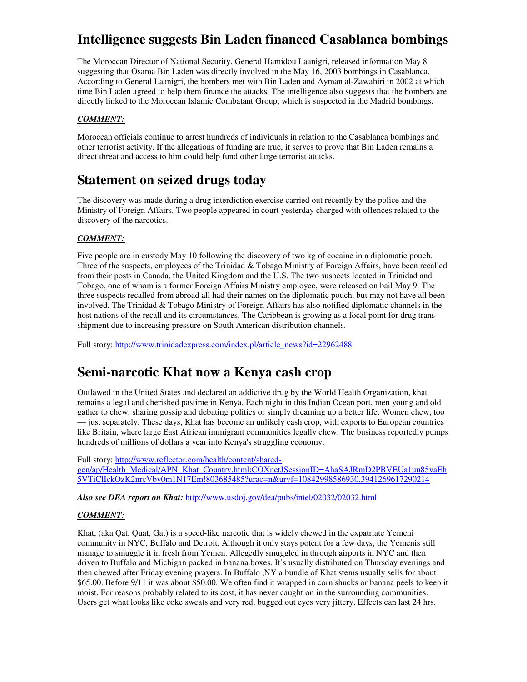# **Intelligence suggests Bin Laden financed Casablanca bombings**

The Moroccan Director of National Security, General Hamidou Laanigri, released information May 8 suggesting that Osama Bin Laden was directly involved in the May 16, 2003 bombings in Casablanca. According to General Laanigri, the bombers met with Bin Laden and Ayman al-Zawahiri in 2002 at which time Bin Laden agreed to help them finance the attacks. The intelligence also suggests that the bombers are directly linked to the Moroccan Islamic Combatant Group, which is suspected in the Madrid bombings.

#### *COMMENT:*

Moroccan officials continue to arrest hundreds of individuals in relation to the Casablanca bombings and other terrorist activity. If the allegations of funding are true, it serves to prove that Bin Laden remains a direct threat and access to him could help fund other large terrorist attacks.

### **Statement on seized drugs today**

The discovery was made during a drug interdiction exercise carried out recently by the police and the Ministry of Foreign Affairs. Two people appeared in court yesterday charged with offences related to the discovery of the narcotics.

#### *COMMENT:*

Five people are in custody May 10 following the discovery of two kg of cocaine in a diplomatic pouch. Three of the suspects, employees of the Trinidad  $&$  Tobago Ministry of Foreign Affairs, have been recalled from their posts in Canada, the United Kingdom and the U.S. The two suspects located in Trinidad and Tobago, one of whom is a former Foreign Affairs Ministry employee, were released on bail May 9. The three suspects recalled from abroad all had their names on the diplomatic pouch, but may not have all been involved. The Trinidad & Tobago Ministry of Foreign Affairs has also notified diplomatic channels in the host nations of the recall and its circumstances. The Caribbean is growing as a focal point for drug transshipment due to increasing pressure on South American distribution channels.

Full story: http://www.trinidadexpress.com/index.pl/article\_news?id=22962488

### **Semi-narcotic Khat now a Kenya cash crop**

Outlawed in the United States and declared an addictive drug by the World Health Organization, khat remains a legal and cherished pastime in Kenya. Each night in this Indian Ocean port, men young and old gather to chew, sharing gossip and debating politics or simply dreaming up a better life. Women chew, too — just separately. These days, Khat has become an unlikely cash crop, with exports to European countries like Britain, where large East African immigrant communities legally chew. The business reportedly pumps hundreds of millions of dollars a year into Kenya's struggling economy.

Full story: http://www.reflector.com/health/content/sharedgen/ap/Health\_Medical/APN\_Khat\_Country.html;COXnetJSessionID=AhaSAJRmD2PBVEUa1uu85vaEh 5VTiClIckOzK2nrcVbv0m1N17Em!803685485?urac=n&urvf=10842998586930.3941269617290214

*Also see DEA report on Khat:* http://www.usdoj.gov/dea/pubs/intel/02032/02032.html

#### *COMMENT:*

Khat, (aka Qat, Quat, Gat) is a speed-like narcotic that is widely chewed in the expatriate Yemeni community in NYC, Buffalo and Detroit. Although it only stays potent for a few days, the Yemenis still manage to smuggle it in fresh from Yemen. Allegedly smuggled in through airports in NYC and then driven to Buffalo and Michigan packed in banana boxes. It's usually distributed on Thursday evenings and then chewed after Friday evening prayers. In Buffalo ,NY a bundle of Khat stems usually sells for about \$65.00. Before 9/11 it was about \$50.00. We often find it wrapped in corn shucks or banana peels to keep it moist. For reasons probably related to its cost, it has never caught on in the surrounding communities. Users get what looks like coke sweats and very red, bugged out eyes very jittery. Effects can last 24 hrs.